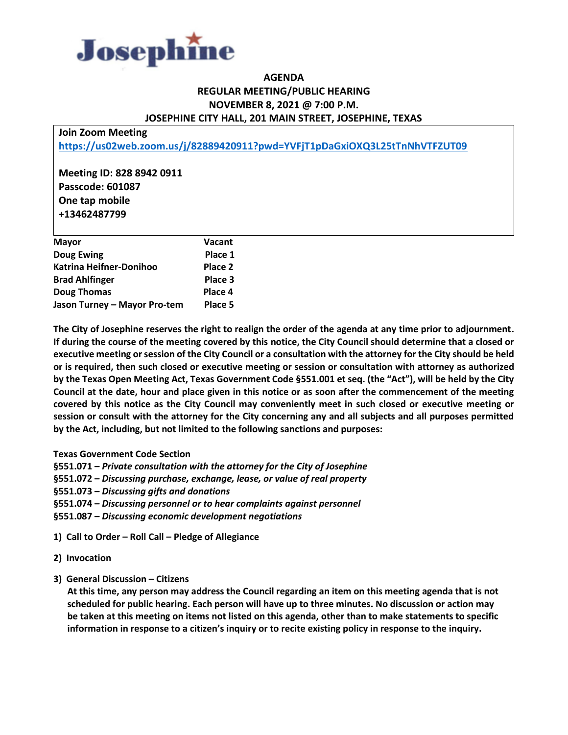

## **AGENDA REGULAR MEETING/PUBLIC HEARING NOVEMBER 8, 2021 @ 7:00 P.M. JOSEPHINE CITY HALL, 201 MAIN STREET, JOSEPHINE, TEXAS**

**Join Zoom Meeting <https://us02web.zoom.us/j/82889420911?pwd=YVFjT1pDaGxiOXQ3L25tTnNhVTFZUT09>**

**Meeting ID: 828 8942 0911 Passcode: 601087 One tap mobile +13462487799**

| <b>Mayor</b>                 | Vacant  |
|------------------------------|---------|
| Doug Ewing                   | Place 1 |
| Katrina Heifner-Donihoo      | Place 2 |
| <b>Brad Ahlfinger</b>        | Place 3 |
| <b>Doug Thomas</b>           | Place 4 |
| Jason Turney - Mayor Pro-tem | Place 5 |

**The City of Josephine reserves the right to realign the order of the agenda at any time prior to adjournment. If during the course of the meeting covered by this notice, the City Council should determine that a closed or executive meeting or session of the City Council or a consultation with the attorney for the City should be held or is required, then such closed or executive meeting or session or consultation with attorney as authorized by the Texas Open Meeting Act, Texas Government Code §551.001 et seq. (the "Act"), will be held by the City Council at the date, hour and place given in this notice or as soon after the commencement of the meeting covered by this notice as the City Council may conveniently meet in such closed or executive meeting or session or consult with the attorney for the City concerning any and all subjects and all purposes permitted by the Act, including, but not limited to the following sanctions and purposes:**

- **Texas Government Code Section**
- **§551.071 –** *Private consultation with the attorney for the City of Josephine*
- **§551.072 –** *Discussing purchase, exchange, lease, or value of real property*
- **§551.073 –** *Discussing gifts and donations*
- **§551.074 –** *Discussing personnel or to hear complaints against personnel*
- **§551.087 –** *Discussing economic development negotiations*
- **1) Call to Order – Roll Call – Pledge of Allegiance**
- **2) Invocation**
- **3) General Discussion – Citizens**

 **At this time, any person may address the Council regarding an item on this meeting agenda that is not scheduled for public hearing. Each person will have up to three minutes. No discussion or action may be taken at this meeting on items not listed on this agenda, other than to make statements to specific information in response to a citizen's inquiry or to recite existing policy in response to the inquiry.**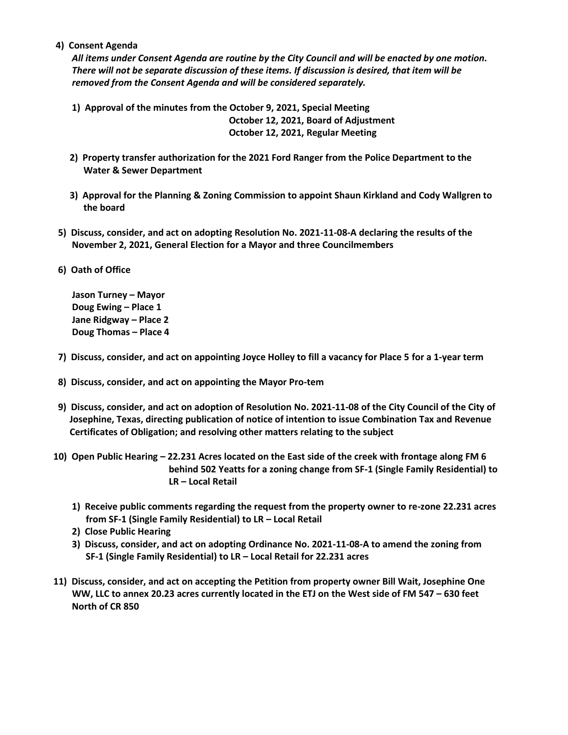**4) Consent Agenda**

*All items under Consent Agenda are routine by the City Council and will be enacted by one motion. There will not be separate discussion of these items. If discussion is desired, that item will be removed from the Consent Agenda and will be considered separately.*

- **1) Approval of the minutes from the October 9, 2021, Special Meeting October 12, 2021, Board of Adjustment October 12, 2021, Regular Meeting**
- **2) Property transfer authorization for the 2021 Ford Ranger from the Police Department to the Water & Sewer Department**
- **3) Approval for the Planning & Zoning Commission to appoint Shaun Kirkland and Cody Wallgren to the board**
- **5) Discuss, consider, and act on adopting Resolution No. 2021-11-08-A declaring the results of the November 2, 2021, General Election for a Mayor and three Councilmembers**
- **6) Oath of Office**

 **Jason Turney – Mayor Doug Ewing – Place 1 Jane Ridgway – Place 2 Doug Thomas – Place 4**

- **7) Discuss, consider, and act on appointing Joyce Holley to fill a vacancy for Place 5 for a 1-year term**
- **8) Discuss, consider, and act on appointing the Mayor Pro-tem**
- **9) Discuss, consider, and act on adoption of Resolution No. 2021-11-08 of the City Council of the City of Josephine, Texas, directing publication of notice of intention to issue Combination Tax and Revenue Certificates of Obligation; and resolving other matters relating to the subject**
- **10) Open Public Hearing – 22.231 Acres located on the East side of the creek with frontage along FM 6 behind 502 Yeatts for a zoning change from SF-1 (Single Family Residential) to LR – Local Retail**
	- **1) Receive public comments regarding the request from the property owner to re-zone 22.231 acres from SF-1 (Single Family Residential) to LR – Local Retail**
	- **2) Close Public Hearing**
	- **3) Discuss, consider, and act on adopting Ordinance No. 2021-11-08-A to amend the zoning from SF-1 (Single Family Residential) to LR – Local Retail for 22.231 acres**
- **11) Discuss, consider, and act on accepting the Petition from property owner Bill Wait, Josephine One WW, LLC to annex 20.23 acres currently located in the ETJ on the West side of FM 547 – 630 feet North of CR 850**